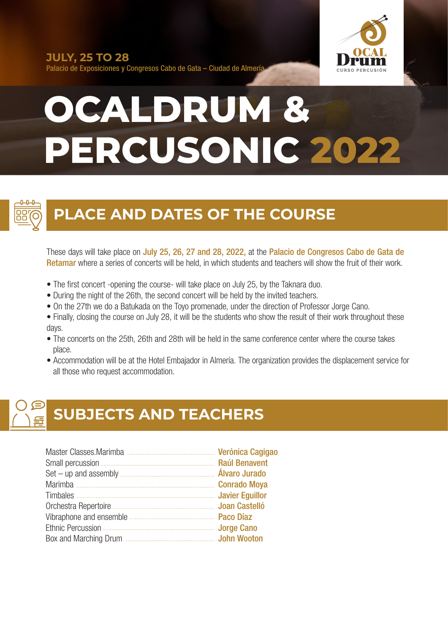

Palacio de Exposiciones y Congresos Cabo de Gata – Ciudad de Almería

# **OCALDRUM & PERCUSONIC 2022**



### **PLACE AND DATES OF THE COURSE**

These days will take place on July 25, 26, 27 and 28, 2022, at the Palacio de Congresos Cabo de Gata de Retamar where a series of concerts will be held, in which students and teachers will show the fruit of their work.

- The first concert -opening the course- will take place on July 25, by the Taknara duo.
- During the night of the 26th, the second concert will be held by the invited teachers.
- On the 27th we do a Batukada on the Toyo promenade, under the direction of Professor Jorge Cano.
- Finally, closing the course on July 28, it will be the students who show the result of their work throughout these days.
- The concerts on the 25th, 26th and 28th will be held in the same conference center where the course takes place.
- Accommodation will be at the Hotel Embajador in Almería. The organization provides the displacement service for all those who request accommodation.

## **SUBJECTS AND TEACHERS**

| Timbales <b>Manual According Service Contract Contract Contract Contract Contract Contract Contract Contract Contract Contract Contract Contract Contract Contract Contract Contract Contract Contract Contract Contract Contrac</b> |  |
|--------------------------------------------------------------------------------------------------------------------------------------------------------------------------------------------------------------------------------------|--|
|                                                                                                                                                                                                                                      |  |
|                                                                                                                                                                                                                                      |  |
|                                                                                                                                                                                                                                      |  |
|                                                                                                                                                                                                                                      |  |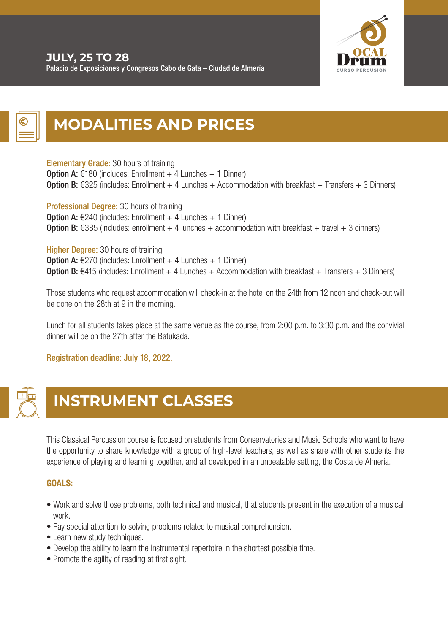

### **MODALITIES AND PRICES**

Elementary Grade: 30 hours of training **Option A:**  $\in$ 180 (includes: Enrollment + 4 Lunches + 1 Dinner) **Option B:** €325 (includes: Enrollment + 4 Lunches + Accommodation with breakfast + Transfers + 3 Dinners)

Professional Degree: 30 hours of training **Option A:**  $E240$  (includes: Enrollment + 4 Lunches + 1 Dinner) **Option B:** €385 (includes: enrollment + 4 lunches + accommodation with breakfast + travel + 3 dinners)

**Higher Degree: 30 hours of training Option A:**  $\epsilon$ 270 (includes: Enrollment + 4 Lunches + 1 Dinner) **Option B:** €415 (includes: Enrollment + 4 Lunches + Accommodation with breakfast + Transfers + 3 Dinners)

Those students who request accommodation will check-in at the hotel on the 24th from 12 noon and check-out will be done on the 28th at 9 in the morning.

Lunch for all students takes place at the same venue as the course, from 2:00 p.m. to 3:30 p.m. and the convivial dinner will be on the 27th after the Batukada.

#### Registration deadline: July 18, 2022.



### **INSTRUMENT CLASSES**

This Classical Percussion course is focused on students from Conservatories and Music Schools who want to have the opportunity to share knowledge with a group of high-level teachers, as well as share with other students the experience of playing and learning together, and all developed in an unbeatable setting, the Costa de Almería.

#### GOALS:

- Work and solve those problems, both technical and musical, that students present in the execution of a musical work.
- Pay special attention to solving problems related to musical comprehension.
- Learn new study techniques.
- Develop the ability to learn the instrumental repertoire in the shortest possible time.
- Promote the agility of reading at first sight.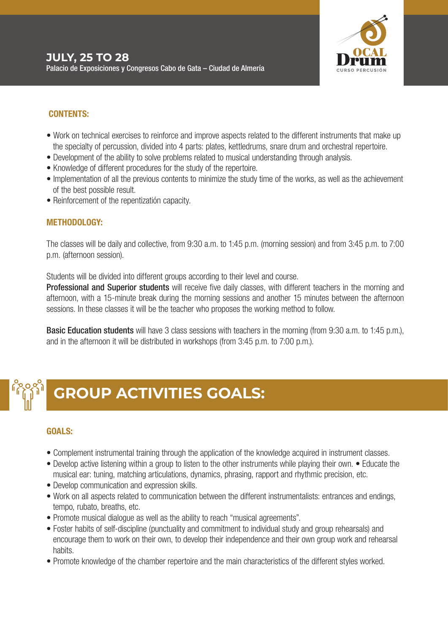

#### CONTENTS:

- Work on technical exercises to reinforce and improve aspects related to the different instruments that make up the specialty of percussion, divided into 4 parts: plates, kettledrums, snare drum and orchestral repertoire.
- Development of the ability to solve problems related to musical understanding through analysis.
- Knowledge of different procedures for the study of the repertoire.
- Implementation of all the previous contents to minimize the study time of the works, as well as the achievement of the best possible result.
- Reinforcement of the repentizatión capacity.

#### METHODOLOGY:

The classes will be daily and collective, from 9:30 a.m. to 1:45 p.m. (morning session) and from 3:45 p.m. to 7:00 p.m. (afternoon session).

Students will be divided into different groups according to their level and course.

**Professional and Superior students** will receive five daily classes, with different teachers in the morning and afternoon, with a 15-minute break during the morning sessions and another 15 minutes between the afternoon sessions. In these classes it will be the teacher who proposes the working method to follow.

**Basic Education students** will have 3 class sessions with teachers in the morning (from 9:30 a.m. to 1:45 p.m.), and in the afternoon it will be distributed in workshops (from 3:45 p.m. to 7:00 p.m.).

### **GROUP ACTIVITIES GOALS:**

#### GOALS:

- Complement instrumental training through the application of the knowledge acquired in instrument classes.
- Develop active listening within a group to listen to the other instruments while playing their own. Educate the musical ear: tuning, matching articulations, dynamics, phrasing, rapport and rhythmic precision, etc.
- Develop communication and expression skills.
- Work on all aspects related to communication between the different instrumentalists: entrances and endings, tempo, rubato, breaths, etc.
- Promote musical dialogue as well as the ability to reach "musical agreements".
- Foster habits of self-discipline (punctuality and commitment to individual study and group rehearsals) and encourage them to work on their own, to develop their independence and their own group work and rehearsal habits.
- Promote knowledge of the chamber repertoire and the main characteristics of the different styles worked.